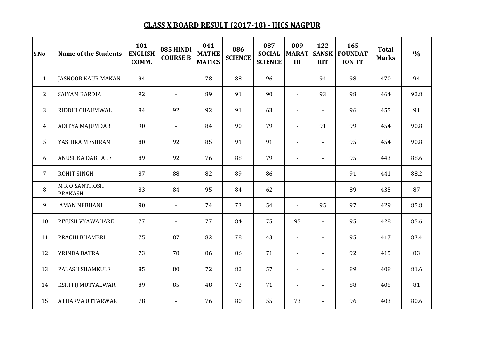## **CLASS X BOARD RESULT (2017-18) - JHCS NAGPUR**

| S.No         | <b>Name of the Students</b>           | 101<br><b>ENGLISH</b><br>COMM. | 085 HINDI<br><b>COURSE B</b> | 041<br><b>MATHE</b><br><b>MATICS</b> | 086<br><b>SCIENCE</b> | 087<br><b>SOCIAL</b><br><b>SCIENCE</b> | 009<br><b>MARAT</b><br>H <sub>I</sub> | 122<br><b>SANSK</b><br><b>RIT</b> | 165<br><b>FOUNDAT</b><br><b>ION IT</b> | <b>Total</b><br><b>Marks</b> | $\frac{0}{0}$ |
|--------------|---------------------------------------|--------------------------------|------------------------------|--------------------------------------|-----------------------|----------------------------------------|---------------------------------------|-----------------------------------|----------------------------------------|------------------------------|---------------|
| $\mathbf{1}$ | <b>JASNOOR KAUR MAKAN</b>             | 94                             | $\blacksquare$               | 78                                   | 88                    | 96                                     | $\sim$                                | 94                                | 98                                     | 470                          | 94            |
| 2            | <b>SAIYAM BARDIA</b>                  | 92                             | $\overline{\phantom{a}}$     | 89                                   | 91                    | 90                                     | $\blacksquare$                        | 93                                | 98                                     | 464                          | 92.8          |
| 3            | RIDDHI CHAUMWAL                       | 84                             | 92                           | 92                                   | 91                    | 63                                     | $\blacksquare$                        |                                   | 96                                     | 455                          | 91            |
| 4            | <b>ADITYA MAJUMDAR</b>                | 90                             | $\overline{\phantom{a}}$     | 84                                   | 90                    | 79                                     | $\overline{\phantom{a}}$              | 91                                | 99                                     | 454                          | 90.8          |
| 5            | YASHIKA MESHRAM                       | 80                             | 92                           | 85                                   | 91                    | 91                                     | $\blacksquare$                        | $\overline{\phantom{a}}$          | 95                                     | 454                          | 90.8          |
| 6            | ANUSHKA DABHALE                       | 89                             | 92                           | 76                                   | 88                    | 79                                     | $\blacksquare$                        | $\overline{\phantom{a}}$          | 95                                     | 443                          | 88.6          |
| 7            | <b>ROHIT SINGH</b>                    | 87                             | 88                           | 82                                   | 89                    | 86                                     | $\overline{\phantom{a}}$              | $\blacksquare$                    | 91                                     | 441                          | 88.2          |
| 8            | <b>MRO SANTHOSH</b><br><b>PRAKASH</b> | 83                             | 84                           | 95                                   | 84                    | 62                                     | $\blacksquare$                        |                                   | 89                                     | 435                          | 87            |
| 9            | <b>AMAN NEBHANI</b>                   | 90                             | $\overline{\phantom{a}}$     | 74                                   | 73                    | 54                                     | $\blacksquare$                        | 95                                | 97                                     | 429                          | 85.8          |
| 10           | PIYUSH VYAWAHARE                      | 77                             | $\overline{\phantom{a}}$     | 77                                   | 84                    | 75                                     | 95                                    | $\blacksquare$                    | 95                                     | 428                          | 85.6          |
| 11           | PRACHI BHAMBRI                        | 75                             | 87                           | 82                                   | 78                    | 43                                     | $\blacksquare$                        | $\sim$                            | 95                                     | 417                          | 83.4          |
| 12           | <b>VRINDA BATRA</b>                   | 73                             | 78                           | 86                                   | 86                    | 71                                     | $\overline{\phantom{a}}$              | $\blacksquare$                    | 92                                     | 415                          | 83            |
| 13           | <b>PALASH SHAMKULE</b>                | 85                             | 80                           | 72                                   | 82                    | 57                                     | $\overline{\phantom{a}}$              | $\blacksquare$                    | 89                                     | 408                          | 81.6          |
| 14           | KSHITIJ MUTYALWAR                     | 89                             | 85                           | 48                                   | 72                    | 71                                     | $\blacksquare$                        | $\blacksquare$                    | 88                                     | 405                          | 81            |
| 15           | <b>ATHARVA UTTARWAR</b>               | 78                             | $\overline{\phantom{a}}$     | 76                                   | 80                    | 55                                     | 73                                    | $\blacksquare$                    | 96                                     | 403                          | 80.6          |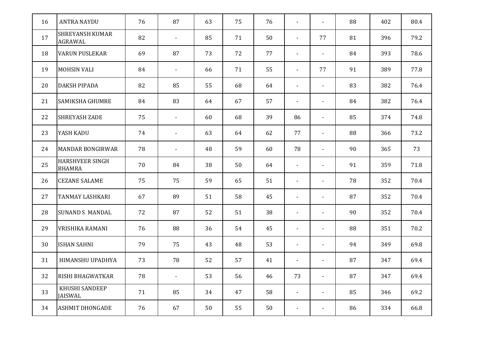| 16 | <b>ANTRA NAYDU</b>                      | 76 | 87                       | 63 | 75 | 76 | $\blacksquare$           | $\blacksquare$           | 88 | 402 | 80.4 |
|----|-----------------------------------------|----|--------------------------|----|----|----|--------------------------|--------------------------|----|-----|------|
| 17 | <b>SHREYANSH KUMAR</b><br>AGRAWAL       | 82 | $\overline{\phantom{a}}$ | 85 | 71 | 50 | $\overline{\phantom{a}}$ | 77                       | 81 | 396 | 79.2 |
| 18 | <b>VARUN PUSLEKAR</b>                   | 69 | 87                       | 73 | 72 | 77 | $\blacksquare$           | $\blacksquare$           | 84 | 393 | 78.6 |
| 19 | <b>MOHSIN VALI</b>                      | 84 | $\blacksquare$           | 66 | 71 | 55 | $\blacksquare$           | 77                       | 91 | 389 | 77.8 |
| 20 | DAKSH PIPADA                            | 82 | 85                       | 55 | 68 | 64 | $\overline{\phantom{a}}$ | $\overline{\phantom{a}}$ | 83 | 382 | 76.4 |
| 21 | <b>SAMIKSHA GHUMRE</b>                  | 84 | 83                       | 64 | 67 | 57 | $\overline{\phantom{a}}$ | $\blacksquare$           | 84 | 382 | 76.4 |
| 22 | <b>SHREYASH ZADE</b>                    | 75 | $\overline{\phantom{a}}$ | 60 | 68 | 39 | 86                       | $\blacksquare$           | 85 | 374 | 74.8 |
| 23 | YASH KADU                               | 74 | $\overline{\phantom{a}}$ | 63 | 64 | 62 | 77                       | $\blacksquare$           | 88 | 366 | 73.2 |
| 24 | <b>MANDAR BONGIRWAR</b>                 | 78 | $\overline{\phantom{0}}$ | 48 | 59 | 60 | 78                       | $\blacksquare$           | 90 | 365 | 73   |
| 25 | <b>HARSHVEER SINGH</b><br><b>BHAMRA</b> | 70 | 84                       | 38 | 50 | 64 | $\overline{\phantom{a}}$ | $\overline{\phantom{a}}$ | 91 | 359 | 71.8 |
| 26 | <b>CEZANE SALAME</b>                    | 75 | 75                       | 59 | 65 | 51 | $\overline{\phantom{a}}$ | $\blacksquare$           | 78 | 352 | 70.4 |
| 27 | TANMAY LASHKARI                         | 67 | 89                       | 51 | 58 | 45 | $\blacksquare$           | $\blacksquare$           | 87 | 352 | 70.4 |
| 28 | <b>SUNAND S MANDAL</b>                  | 72 | 87                       | 52 | 51 | 38 | $\blacksquare$           | $\overline{\phantom{a}}$ | 90 | 352 | 70.4 |
| 29 | VRISHIKA RAMANI                         | 76 | 88                       | 36 | 54 | 45 | $\overline{\phantom{a}}$ | $\overline{\phantom{a}}$ | 88 | 351 | 70.2 |
| 30 | <b>ISHAN SAHNI</b>                      | 79 | 75                       | 43 | 48 | 53 | $\blacksquare$           | $\blacksquare$           | 94 | 349 | 69.8 |
| 31 | HIMANSHU UPADHYA                        | 73 | 78                       | 52 | 57 | 41 |                          |                          | 87 | 347 | 69.4 |
| 32 | RISHI BHAGWATKAR                        | 78 | $\overline{\phantom{a}}$ | 53 | 56 | 46 | 73                       | $\blacksquare$           | 87 | 347 | 69.4 |
| 33 | KHUSHI SANDEEP<br>JAISWAL               | 71 | 85                       | 34 | 47 | 58 | $\blacksquare$           | $\blacksquare$           | 85 | 346 | 69.2 |
| 34 | <b>ASHMIT DHONGADE</b>                  | 76 | 67                       | 50 | 55 | 50 | $\blacksquare$           | $\overline{\phantom{a}}$ | 86 | 334 | 66.8 |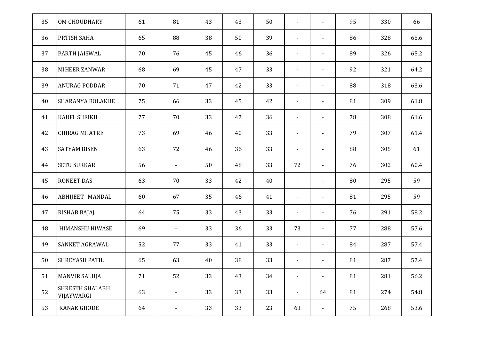| 35 | OM CHOUDHARY                         | 61 | 81                           | 43 | 43 | 50 | $\overline{\phantom{a}}$ | $\overline{\phantom{a}}$ | 95 | 330 | 66   |
|----|--------------------------------------|----|------------------------------|----|----|----|--------------------------|--------------------------|----|-----|------|
| 36 | PRTISH SAHA                          | 65 | 88                           | 38 | 50 | 39 | $\blacksquare$           | $\overline{\phantom{a}}$ | 86 | 328 | 65.6 |
| 37 | PARTH JAISWAL                        | 70 | 76                           | 45 | 46 | 36 | $\overline{\phantom{a}}$ | $\blacksquare$           | 89 | 326 | 65.2 |
| 38 | MIHEER ZANWAR                        | 68 | 69                           | 45 | 47 | 33 | $\blacksquare$           | $\overline{\phantom{a}}$ | 92 | 321 | 64.2 |
| 39 | <b>ANURAG PODDAR</b>                 | 70 | 71                           | 47 | 42 | 33 | $\overline{\phantom{a}}$ | $\overline{\phantom{a}}$ | 88 | 318 | 63.6 |
| 40 | <b>SHARANYA BOLAKHE</b>              | 75 | 66                           | 33 | 45 | 42 | $\blacksquare$           | $\blacksquare$           | 81 | 309 | 61.8 |
| 41 | <b>KAUFI SHEIKH</b>                  | 77 | 70                           | 33 | 47 | 36 | $\blacksquare$           | $\blacksquare$           | 78 | 308 | 61.6 |
| 42 | <b>CHIRAG MHATRE</b>                 | 73 | 69                           | 46 | 40 | 33 | $\overline{\phantom{a}}$ | $\overline{\phantom{a}}$ | 79 | 307 | 61.4 |
| 43 | <b>SATYAM BISEN</b>                  | 63 | 72                           | 46 | 36 | 33 | $\overline{\phantom{a}}$ | $\blacksquare$           | 88 | 305 | 61   |
| 44 | <b>SETU SURKAR</b>                   | 56 | $\overline{\phantom{a}}$     | 50 | 48 | 33 | 72                       | $\overline{\phantom{a}}$ | 76 | 302 | 60.4 |
| 45 | <b>RONEET DAS</b>                    | 63 | 70                           | 33 | 42 | 40 | $\overline{\phantom{a}}$ | $\overline{\phantom{a}}$ | 80 | 295 | 59   |
| 46 | ABHIJEET MANDAL                      | 60 | 67                           | 35 | 46 | 41 | $\overline{\phantom{a}}$ | $\blacksquare$           | 81 | 295 | 59   |
| 47 | <b>RISHAB BAJAJ</b>                  | 64 | 75                           | 33 | 43 | 33 | $\blacksquare$           | $\blacksquare$           | 76 | 291 | 58.2 |
| 48 | HIMANSHU HIWASE                      | 69 | $\overline{\phantom{a}}$     | 33 | 36 | 33 | 73                       | $\blacksquare$           | 77 | 288 | 57.6 |
| 49 | <b>SANKET AGRAWAL</b>                | 52 | 77                           | 33 | 41 | 33 | $\overline{\phantom{a}}$ | $\blacksquare$           | 84 | 287 | 57.4 |
| 50 | <b>SHREYASH PATIL</b>                | 65 | 63                           | 40 | 38 | 33 | $\overline{\phantom{a}}$ | $\blacksquare$           | 81 | 287 | 57.4 |
| 51 | <b>MANVIR SALUJA</b>                 | 71 | 52                           | 33 | 43 | 34 | $\overline{\phantom{a}}$ | $\overline{\phantom{a}}$ | 81 | 281 | 56.2 |
| 52 | <b>SHRESTH SHALABH</b><br>VIJAYWARGI | 63 | $\overline{\phantom{a}}$     | 33 | 33 | 33 | $\overline{\phantom{a}}$ | 64                       | 81 | 274 | 54.8 |
| 53 | KANAK GHODE                          | 64 | $\qquad \qquad \blacksquare$ | 33 | 33 | 23 | 63                       | $\blacksquare$           | 75 | 268 | 53.6 |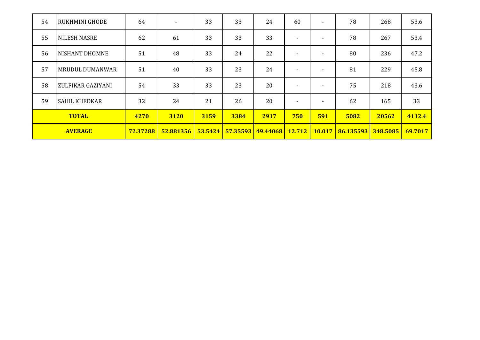| 54             | <b>RUKHMINI GHODE</b>  | 64       | $\overline{\phantom{a}}$ | 33      | 33       | 24       | 60                       | ۰.             | 78        | 268      | 53.6    |
|----------------|------------------------|----------|--------------------------|---------|----------|----------|--------------------------|----------------|-----------|----------|---------|
| 55             | <b>NILESH NASRE</b>    | 62       | 61                       | 33      | 33       | 33       | $\overline{\phantom{a}}$ | ۰.             | 78        | 267      | 53.4    |
| 56             | <b>NISHANT DHOMNE</b>  | 51       | 48                       | 33      | 24       | 22       | $\overline{\phantom{0}}$ | $\sim$         | 80        | 236      | 47.2    |
| 57             | <b>MRUDUL DUMANWAR</b> | 51       | 40                       | 33      | 23       | 24       | $\overline{\phantom{0}}$ | $\blacksquare$ | 81        | 229      | 45.8    |
| 58             | ZULFIKAR GAZIYANI      | 54       | 33                       | 33      | 23       | 20       | $\overline{\phantom{0}}$ | $\sim$         | 75        | 218      | 43.6    |
| 59             | <b>SAHIL KHEDKAR</b>   | 32       | 24                       | 21      | 26       | 20       | $\overline{\phantom{0}}$ | $\sim$         | 62        | 165      | 33      |
| <b>TOTAL</b>   |                        | 4270     | 3120                     | 3159    | 3384     | 2917     | 750                      | 591            | 5082      | 20562    | 4112.4  |
| <b>AVERAGE</b> |                        | 72.37288 | 52.881356                | 53.5424 | 57.35593 | 49.44068 | 12.712                   | 10.017         | 86.135593 | 348.5085 | 69.7017 |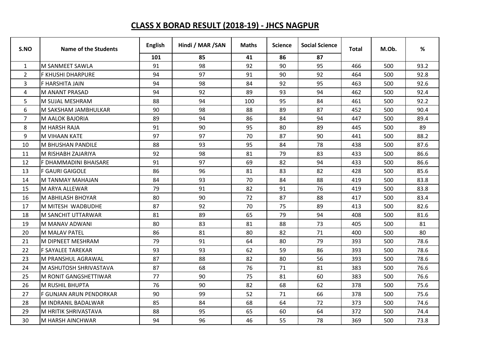## **CLASS X BORAD RESULT (2018-19) - JHCS NAGPUR**

| S.NO           | <b>Name of the Students</b> | <b>English</b> | Hindi / MAR / SAN | <b>Maths</b> | <b>Science</b> | <b>Social Science</b> | Total | M.Ob. | %    |
|----------------|-----------------------------|----------------|-------------------|--------------|----------------|-----------------------|-------|-------|------|
|                |                             | 101            | 85                | 41           | 86             | 87                    |       |       |      |
| $\mathbf{1}$   | M SANMEET SAWLA             | 91             | 98                | 92           | 90             | 95                    | 466   | 500   | 93.2 |
| 2              | <b>F KHUSHI DHARPURE</b>    | 94             | 97                | 91           | 90             | 92                    | 464   | 500   | 92.8 |
| 3              | F HARSHITA JAIN             | 94             | 98                | 84           | 92             | 95                    | 463   | 500   | 92.6 |
| 4              | <b>M ANANT PRASAD</b>       | 94             | 92                | 89           | 93             | 94                    | 462   | 500   | 92.4 |
| 5              | M SUJAL MESHRAM             | 88             | 94                | 100          | 95             | 84                    | 461   | 500   | 92.2 |
| 6              | M SAKSHAM JAMBHULKAR        | 90             | 98                | 88           | 89             | 87                    | 452   | 500   | 90.4 |
| $\overline{7}$ | M AALOK BAJORIA             | 89             | 94                | 86           | 84             | 94                    | 447   | 500   | 89.4 |
| 8              | M HARSH RAJA                | 91             | 90                | 95           | 80             | 89                    | 445   | 500   | 89   |
| 9              | M VIHAAN KATE               | 97             | 97                | 70           | 87             | 90                    | 441   | 500   | 88.2 |
| 10             | <b>M BHUSHAN PANDILE</b>    | 88             | 93                | 95           | 84             | 78                    | 438   | 500   | 87.6 |
| 11             | M RISHABH ZAJARIYA          | 92             | 98                | 81           | 79             | 83                    | 433   | 500   | 86.6 |
| 12             | F DHAMMADINI BHAISARE       | 91             | 97                | 69           | 82             | 94                    | 433   | 500   | 86.6 |
| 13             | <b>F GAURI GAIGOLE</b>      | 86             | 96                | 81           | 83             | 82                    | 428   | 500   | 85.6 |
| 14             | M TANMAY MAHAJAN            | 84             | 93                | 70           | 84             | 88                    | 419   | 500   | 83.8 |
| 15             | M ARYA ALLEWAR              | 79             | 91                | 82           | 91             | 76                    | 419   | 500   | 83.8 |
| 16             | M ABHILASH BHOYAR           | 80             | 90                | 72           | 87             | 88                    | 417   | 500   | 83.4 |
| 17             | M MITESH WADBUDHE           | 87             | 92                | 70           | 75             | 89                    | 413   | 500   | 82.6 |
| 18             | <b>M SANCHIT UTTARWAR</b>   | 81             | 89                | 65           | 79             | 94                    | 408   | 500   | 81.6 |
| 19             | M MANAV ADWANI              | 80             | 83                | 81           | 88             | 73                    | 405   | 500   | 81   |
| 20             | <b>M MALAV PATEL</b>        | 86             | 81                | 80           | 82             | 71                    | 400   | 500   | 80   |
| 21             | M DIPNEET MESHRAM           | 79             | 91                | 64           | 80             | 79                    | 393   | 500   | 78.6 |
| 22             | <b>F SAYALEE TAREKAR</b>    | 93             | 93                | 62           | 59             | 86                    | 393   | 500   | 78.6 |
| 23             | M PRANSHUL AGRAWAL          | 87             | 88                | 82           | 80             | 56                    | 393   | 500   | 78.6 |
| 24             | M ASHUTOSH SHRIVASTAVA      | 87             | 68                | 76           | 71             | 81                    | 383   | 500   | 76.6 |
| 25             | M RONIT GANGSHETTIWAR       | 77             | 90                | 75           | 81             | 60                    | 383   | 500   | 76.6 |
| 26             | <b>M RUSHIL BHUPTA</b>      | 76             | 90                | 82           | 68             | 62                    | 378   | 500   | 75.6 |
| 27             | F GUNJAN ARUN PENDORKAR     | 90             | 99                | 52           | 71             | 66                    | 378   | 500   | 75.6 |
| 28             | M INDRANIL BADALWAR         | 85             | 84                | 68           | 64             | 72                    | 373   | 500   | 74.6 |
| 29             | M HRITIK SHRIVASTAVA        | 88             | 95                | 65           | 60             | 64                    | 372   | 500   | 74.4 |
| 30             | M HARSH AINCHWAR            | 94             | 96                | 46           | 55             | 78                    | 369   | 500   | 73.8 |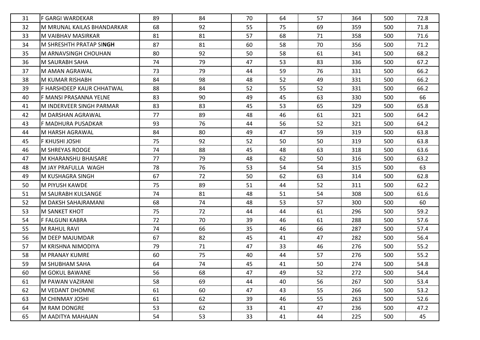| 31 | F GARGI WARDEKAR           | 89 | 84 | 70 | 64 | 57 | 364 | 500 | 72.8 |
|----|----------------------------|----|----|----|----|----|-----|-----|------|
| 32 | M MRUNAL KAILAS BHANDARKAR | 68 | 92 | 55 | 75 | 69 | 359 | 500 | 71.8 |
| 33 | M VAIBHAV MASIRKAR         | 81 | 81 | 57 | 68 | 71 | 358 | 500 | 71.6 |
| 34 | M SHRESHTH PRATAP SINGH    | 87 | 81 | 60 | 58 | 70 | 356 | 500 | 71.2 |
| 35 | M ARNAVSINGH CHOUHAN       | 80 | 92 | 50 | 58 | 61 | 341 | 500 | 68.2 |
| 36 | M SAURABH SAHA             | 74 | 79 | 47 | 53 | 83 | 336 | 500 | 67.2 |
| 37 | IM AMAN AGRAWAL            | 73 | 79 | 44 | 59 | 76 | 331 | 500 | 66.2 |
| 38 | IM KUMAR RISHABH           | 84 | 98 | 48 | 52 | 49 | 331 | 500 | 66.2 |
| 39 | F HARSHDEEP KAUR CHHATWAL  | 88 | 84 | 52 | 55 | 52 | 331 | 500 | 66.2 |
| 40 | F MANSI PRASANNA YELNE     | 83 | 90 | 49 | 45 | 63 | 330 | 500 | 66   |
| 41 | M INDERVEER SINGH PARMAR   | 83 | 83 | 45 | 53 | 65 | 329 | 500 | 65.8 |
| 42 | M DARSHAN AGRAWAL          | 77 | 89 | 48 | 46 | 61 | 321 | 500 | 64.2 |
| 43 | F MADHURA PUSADKAR         | 93 | 76 | 44 | 56 | 52 | 321 | 500 | 64.2 |
| 44 | M HARSH AGRAWAL            | 84 | 80 | 49 | 47 | 59 | 319 | 500 | 63.8 |
| 45 | F KHUSHI JOSHI             | 75 | 92 | 52 | 50 | 50 | 319 | 500 | 63.8 |
| 46 | IM SHREYAS RODGE           | 74 | 88 | 45 | 48 | 63 | 318 | 500 | 63.6 |
| 47 | M KHARANSHU BHAISARE       | 77 | 79 | 48 | 62 | 50 | 316 | 500 | 63.2 |
| 48 | IM JAY PRAFULLA WAGH       | 78 | 76 | 53 | 54 | 54 | 315 | 500 | 63   |
| 49 | M KUSHAGRA SINGH           | 67 | 72 | 50 | 62 | 63 | 314 | 500 | 62.8 |
| 50 | M PIYUSH KAWDE             | 75 | 89 | 51 | 44 | 52 | 311 | 500 | 62.2 |
| 51 | M SAURABH KULSANGE         | 74 | 81 | 48 | 51 | 54 | 308 | 500 | 61.6 |
| 52 | M DAKSH SAHAJRAMANI        | 68 | 74 | 48 | 53 | 57 | 300 | 500 | 60   |
| 53 | M SANKET KHOT              | 75 | 72 | 44 | 44 | 61 | 296 | 500 | 59.2 |
| 54 | F FALGUNI KABRA            | 72 | 70 | 39 | 46 | 61 | 288 | 500 | 57.6 |
| 55 | M RAHUL RAVI               | 74 | 66 | 35 | 46 | 66 | 287 | 500 | 57.4 |
| 56 | M DEEP MAJUMDAR            | 67 | 82 | 45 | 41 | 47 | 282 | 500 | 56.4 |
| 57 | M KRISHNA NIMODIYA         | 79 | 71 | 47 | 33 | 46 | 276 | 500 | 55.2 |
| 58 | M PRANAY KUMRE             | 60 | 75 | 40 | 44 | 57 | 276 | 500 | 55.2 |
| 59 | M SHUBHAM SAHA             | 64 | 74 | 45 | 41 | 50 | 274 | 500 | 54.8 |
| 60 | M GOKUL BAWANE             | 56 | 68 | 47 | 49 | 52 | 272 | 500 | 54.4 |
| 61 | M PAWAN VAZIRANI           | 58 | 69 | 44 | 40 | 56 | 267 | 500 | 53.4 |
| 62 | lm vedant dhomne           | 61 | 60 | 47 | 43 | 55 | 266 | 500 | 53.2 |
| 63 | M CHINMAY JOSHI            | 61 | 62 | 39 | 46 | 55 | 263 | 500 | 52.6 |
| 64 | M RAM DONGRE               | 53 | 62 | 33 | 41 | 47 | 236 | 500 | 47.2 |
| 65 | M AADITYA MAHAJAN          | 54 | 53 | 33 | 41 | 44 | 225 | 500 | 45   |
|    |                            |    |    |    |    |    |     |     |      |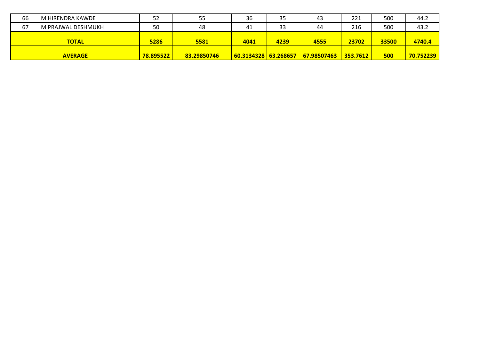| 66 | IM HIRENDRA KAWDE  | 52   | 55   | 36   | 35   | 43   | 221   | 500   | 44.2   |
|----|--------------------|------|------|------|------|------|-------|-------|--------|
| 67 | M PRAJWAL DESHMUKH | 50   | 48   | 41   | 33   | 44   | 216   | 500   | 43.2   |
|    | <b>TOTAL</b>       | 5286 | 5581 | 4041 | 4239 | 4555 | 23702 | 33500 | 4740.4 |
|    |                    |      |      |      |      |      |       |       |        |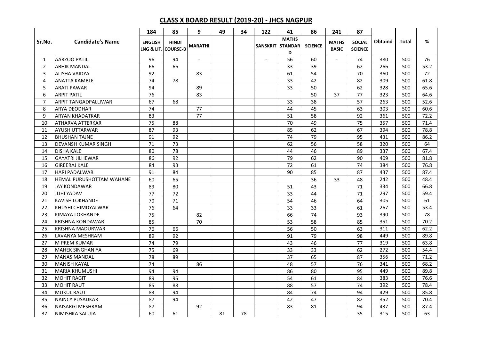## **CLASS X BOARD RESULT (2019-20) - JHCS NAGPUR**

|                  |                          | 184            | 85                                  | 9                        | 49 | 34 | 122                      | 41                                  | 86              | 241                          | 87                              |                |       |      |
|------------------|--------------------------|----------------|-------------------------------------|--------------------------|----|----|--------------------------|-------------------------------------|-----------------|------------------------------|---------------------------------|----------------|-------|------|
| Sr.No.           | <b>Candidate's Name</b>  | <b>ENGLISH</b> | <b>HINDI</b><br>LNG & LIT. COURSE-B | <b>MARATHI</b>           |    |    | <b>SANSKRIT</b>          | <b>MATHS</b><br><b>STANDAR</b><br>D | <b>SCIENCE</b>  | <b>MATHS</b><br><b>BASIC</b> | <b>SOCIAL</b><br><b>SCIENCE</b> | <b>Obtaind</b> | Total | %    |
| 1                | <b>AARZOO PATIL</b>      | 96             | 94                                  | $\overline{\phantom{a}}$ |    |    | $\overline{\phantom{a}}$ | 56                                  | 60              | $\sim$                       | 74                              | 380            | 500   | 76   |
| $\overline{2}$   | <b>ABHIK MANDAL</b>      | 66             | 66                                  |                          |    |    |                          | 33                                  | 39              |                              | 62                              | 266            | 500   | 53.2 |
| 3                | <b>ALISHA VAIDYA</b>     | 92             |                                     | 83                       |    |    |                          | 61                                  | 54              |                              | 70                              | 360            | 500   | 72   |
| 4                | <b>ANATTA KAMBLE</b>     | 74             | 78                                  |                          |    |    |                          | 33                                  | 42              |                              | 82                              | 309            | 500   | 61.8 |
| 5                | <b>ARATI PAWAR</b>       | 94             |                                     | 89                       |    |    |                          | 33                                  | 50              |                              | 62                              | 328            | 500   | 65.6 |
| $\boldsymbol{6}$ | <b>ARPIT PATIL</b>       | 76             |                                     | 83                       |    |    |                          |                                     | 50              | 37                           | 77                              | 323            | 500   | 64.6 |
| $\overline{7}$   | ARPIT TANGADPALLIWAR     | 67             | 68                                  |                          |    |    |                          | 33                                  | 38              |                              | 57                              | 263            | 500   | 52.6 |
| 8                | <b>ARYA DEODHAR</b>      | 74             |                                     | 77                       |    |    |                          | 44                                  | 45              |                              | 63                              | 303            | 500   | 60.6 |
| 9                | <b>ARYAN KHADATKAR</b>   | 83             |                                     | 77                       |    |    |                          | 51                                  | 58              |                              | 92                              | 361            | 500   | 72.2 |
| 10               | <b>ATHARVA ATTERKAR</b>  | 75             | 88                                  |                          |    |    |                          | 70                                  | 49              |                              | 75                              | 357            | 500   | 71.4 |
| 11               | <b>AYUSH UTTARWAR</b>    | 87             | 93                                  |                          |    |    |                          | 85                                  | 62              |                              | 67                              | 394            | 500   | 78.8 |
| 12               | <b>BHUSHAN TAJNE</b>     | 91             | 92                                  |                          |    |    |                          | 74                                  | 79              |                              | 95                              | 431            | 500   | 86.2 |
| 13               | DEVANSH KUMAR SINGH      | 71             | 73                                  |                          |    |    |                          | 62                                  | 56              |                              | 58                              | 320            | 500   | 64   |
| 14               | <b>DISHA KALE</b>        | 80             | 78                                  |                          |    |    |                          | 44                                  | 46              |                              | 89                              | 337            | 500   | 67.4 |
| 15               | <b>GAYATRI JILHEWAR</b>  | 86             | 92                                  |                          |    |    |                          | 79                                  | 62              |                              | 90                              | 409            | 500   | 81.8 |
| 16               | <b>GIREERAJ KALE</b>     | 84             | 93                                  |                          |    |    |                          | 72                                  | 61              |                              | 74                              | 384            | 500   | 76.8 |
| 17               | <b>HARI PADALWAR</b>     | 91             | 84                                  |                          |    |    |                          | 90                                  | 85              |                              | 87                              | 437            | 500   | 87.4 |
| 18               | HEMAL PURUSHOTTAM WAHANE | 60             | 65                                  |                          |    |    |                          |                                     | 36              | 33                           | 48                              | 242            | 500   | 48.4 |
| 19               | <b>JAY KONDAWAR</b>      | 89             | 80                                  |                          |    |    |                          | 51                                  | $\overline{43}$ |                              | 71                              | 334            | 500   | 66.8 |
| 20               | <b>JUHI YADAV</b>        | 77             | 72                                  |                          |    |    |                          | 33                                  | 44              |                              | 71                              | 297            | 500   | 59.4 |
| 21               | <b>KAVISH LOKHANDE</b>   | 70             | 71                                  |                          |    |    |                          | 54                                  | 46              |                              | 64                              | 305            | 500   | 61   |
| 22               | KHUSHI CHIMDYALWAR       | 76             | 64                                  |                          |    |    |                          | 33                                  | 33              |                              | 61                              | 267            | 500   | 53.4 |
| 23               | <b>KIMAYA LOKHANDE</b>   | 75             |                                     | 82                       |    |    |                          | 66                                  | 74              |                              | 93                              | 390            | 500   | 78   |
| 24               | <b>KRISHNA KONDAWAR</b>  | 85             |                                     | 70                       |    |    |                          | 53                                  | 58              |                              | 85                              | 351            | 500   | 70.2 |
| 25               | <b>KRISHNA MADURWAR</b>  | 76             | 66                                  |                          |    |    |                          | 56                                  | 50              |                              | 63                              | 311            | 500   | 62.2 |
| 26               | LAVANYA MESHRAM          | 89             | 92                                  |                          |    |    |                          | 91                                  | 79              |                              | 98                              | 449            | 500   | 89.8 |
| 27               | <b>M PREM KUMAR</b>      | 74             | 79                                  |                          |    |    |                          | 43                                  | 46              |                              | 77                              | 319            | 500   | 63.8 |
| 28               | <b>MAHEK SINGHANIYA</b>  | 75             | 69                                  |                          |    |    |                          | 33                                  | 33              |                              | 62                              | 272            | 500   | 54.4 |
| 29               | <b>MANAS MANDAL</b>      | 78             | 89                                  |                          |    |    |                          | 37                                  | 65              |                              | 87                              | 356            | 500   | 71.2 |
| 30               | <b>MANISH KAYAL</b>      | 74             |                                     | 86                       |    |    |                          | 48                                  | 57              |                              | 76                              | 341            | 500   | 68.2 |
| 31               | <b>MARIA KHUMUSHI</b>    | 94             | 94                                  |                          |    |    |                          | 86                                  | 80              |                              | 95                              | 449            | 500   | 89.8 |
| 32               | <b>MOHIT RAGIT</b>       | 89             | 95                                  |                          |    |    |                          | 54                                  | 61              |                              | 84                              | 383            | 500   | 76.6 |
| 33               | <b>MOHIT RAUT</b>        | 85             | 88                                  |                          |    |    |                          | 88                                  | 57              |                              | 74                              | 392            | 500   | 78.4 |
| 34               | <b>MUKUL RAUT</b>        | 83             | 94                                  |                          |    |    |                          | 84                                  | 74              |                              | 94                              | 429            | 500   | 85.8 |
| 35               | <b>NAINCY PUSADKAR</b>   | 87             | 94                                  |                          |    |    |                          | 42                                  | 47              |                              | 82                              | 352            | 500   | 70.4 |
| 36               | <b>NAISARGI MESHRAM</b>  | 87             |                                     | 92                       |    |    |                          | 83                                  | 81              |                              | 94                              | 437            | 500   | 87.4 |
| 37               | NIMISHKA SALUJA          | 60             | 61                                  |                          | 81 | 78 |                          |                                     |                 |                              | 35                              | 315            | 500   | 63   |